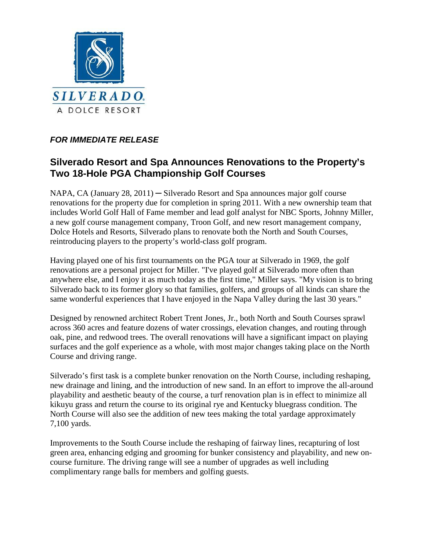

## *FOR IMMEDIATE RELEASE*

## **Silverado Resort and Spa Announces Renovations to the Property's Two 18-Hole PGA Championship Golf Courses**

NAPA, CA (January 28, 2011) — Silverado Resort and Spa announces major golf course renovations for the property due for completion in spring 2011. With a new ownership team that includes World Golf Hall of Fame member and lead golf analyst for NBC Sports, Johnny Miller, a new golf course management company, Troon Golf, and new resort management company, Dolce Hotels and Resorts, Silverado plans to renovate both the North and South Courses, reintroducing players to the property's world-class golf program.

Having played one of his first tournaments on the PGA tour at Silverado in 1969, the golf renovations are a personal project for Miller. "I've played golf at Silverado more often than anywhere else, and I enjoy it as much today as the first time," Miller says. "My vision is to bring Silverado back to its former glory so that families, golfers, and groups of all kinds can share the same wonderful experiences that I have enjoyed in the Napa Valley during the last 30 years."

Designed by renowned architect Robert Trent Jones, Jr., both North and South Courses sprawl across 360 acres and feature dozens of water crossings, elevation changes, and routing through oak, pine, and redwood trees. The overall renovations will have a significant impact on playing surfaces and the golf experience as a whole, with most major changes taking place on the North Course and driving range.

Silverado's first task is a complete bunker renovation on the North Course, including reshaping, new drainage and lining, and the introduction of new sand. In an effort to improve the all-around playability and aesthetic beauty of the course, a turf renovation plan is in effect to minimize all kikuyu grass and return the course to its original rye and Kentucky bluegrass condition. The North Course will also see the addition of new tees making the total yardage approximately 7,100 yards.

Improvements to the South Course include the reshaping of fairway lines, recapturing of lost green area, enhancing edging and grooming for bunker consistency and playability, and new oncourse furniture. The driving range will see a number of upgrades as well including complimentary range balls for members and golfing guests.